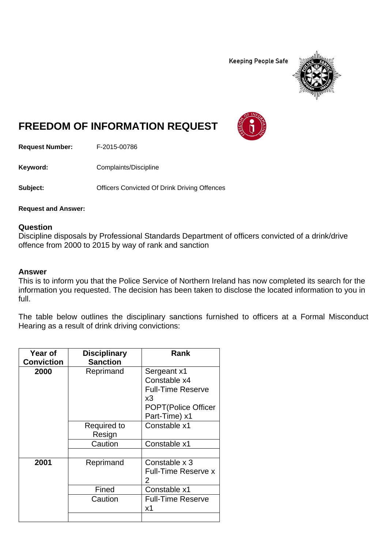**Keeping People Safe** 



## **FREEDOM OF INFORMATION REQUEST**

**Request Number:** F-2015-00786

**Keyword:** Complaints/Discipline

**Subject: Convicted Of Drink Driving Offences** 

**Request and Answer:** 

## **Question**

Discipline disposals by Professional Standards Department of officers convicted of a drink/drive offence from 2000 to 2015 by way of rank and sanction

## **Answer**

This is to inform you that the Police Service of Northern Ireland has now completed its search for the information you requested. The decision has been taken to disclose the located information to you in full.

The table below outlines the disciplinary sanctions furnished to officers at a Formal Misconduct Hearing as a result of drink driving convictions:

| Year of<br><b>Conviction</b> | <b>Disciplinary</b><br><b>Sanction</b>  | Rank                                                                                                          |
|------------------------------|-----------------------------------------|---------------------------------------------------------------------------------------------------------------|
| 2000                         | Reprimand                               | Sergeant x1<br>Constable x4<br><b>Full-Time Reserve</b><br>x3<br><b>POPT</b> (Police Officer<br>Part-Time) x1 |
|                              | <b>Required to</b><br>Resign<br>Caution | Constable x1<br>Constable x1                                                                                  |
|                              |                                         |                                                                                                               |
| 2001                         | Reprimand                               | Constable x 3<br><b>Full-Time Reserve x</b><br>2                                                              |
|                              | Fined                                   | Constable x1                                                                                                  |
|                              | Caution                                 | <b>Full-Time Reserve</b><br>х1                                                                                |
|                              |                                         |                                                                                                               |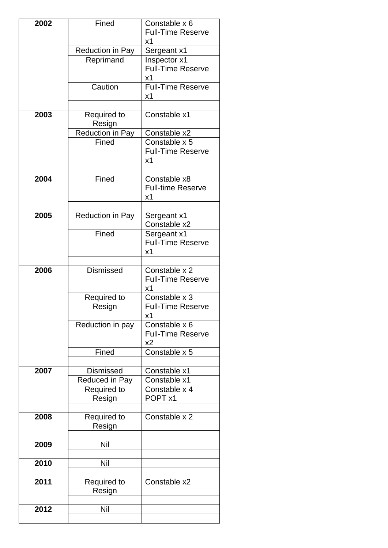| 2002 | Fined                                | Constable x 6                  |
|------|--------------------------------------|--------------------------------|
|      |                                      | <b>Full-Time Reserve</b><br>х1 |
|      | Reduction in Pay                     | Sergeant x1                    |
|      | Reprimand                            | Inspector x1                   |
|      |                                      | <b>Full-Time Reserve</b>       |
|      | Caution                              | х1<br><b>Full-Time Reserve</b> |
|      |                                      | x1                             |
| 2003 | Required to                          | Constable x1                   |
|      | Resign                               |                                |
|      | Reduction in Pay                     | Constable x2                   |
|      | Fined                                | Constable x 5                  |
|      |                                      | <b>Full-Time Reserve</b><br>x1 |
|      |                                      |                                |
| 2004 | Fined                                | Constable x8                   |
|      |                                      | <b>Full-time Reserve</b>       |
|      |                                      | x1                             |
| 2005 | Reduction in Pay                     | Sergeant x1                    |
|      |                                      | Constable x2                   |
|      | Fined                                | Sergeant x1                    |
|      |                                      | <b>Full-Time Reserve</b><br>х1 |
|      |                                      |                                |
| 2006 | Dismissed                            | Constable x 2                  |
|      |                                      | <b>Full-Time Reserve</b>       |
|      | Required to                          | х1<br>Constable x 3            |
|      | Resign                               | <b>Full-Time Reserve</b>       |
|      |                                      | х1                             |
|      | Reduction in pay                     | Constable x 6                  |
|      |                                      | <b>Full-Time Reserve</b><br>x2 |
|      | Fined                                | Constable x 5                  |
|      |                                      |                                |
| 2007 | <b>Dismissed</b>                     | Constable x1                   |
|      | Reduced in Pay<br><b>Required to</b> | Constable x1<br>Constable x 4  |
|      | Resign                               | POPT x1                        |
|      |                                      |                                |
| 2008 | <b>Required to</b>                   | Constable x 2                  |
|      | Resign                               |                                |
| 2009 | Nil                                  |                                |
|      |                                      |                                |
| 2010 | Nil                                  |                                |
| 2011 |                                      | Constable x2                   |
|      | Required to<br>Resign                |                                |
|      |                                      |                                |
| 2012 | Nil                                  |                                |
|      |                                      |                                |